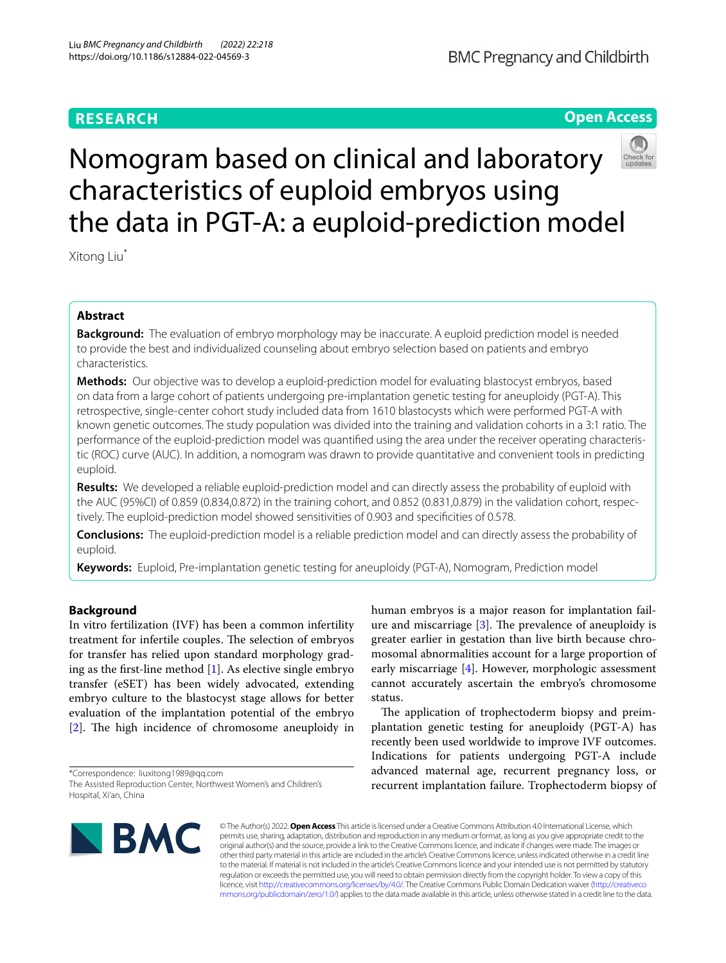## **BMC Pregnancy and Childbirth**

## **Open Access**



# Nomogram based on clinical and laboratory characteristics of euploid embryos using the data in PGT-A: a euploid-prediction model

Xitong Liu\*

## **Abstract**

**Background:** The evaluation of embryo morphology may be inaccurate. A euploid prediction model is needed to provide the best and individualized counseling about embryo selection based on patients and embryo characteristics.

**Methods:** Our objective was to develop a euploid-prediction model for evaluating blastocyst embryos, based on data from a large cohort of patients undergoing pre-implantation genetic testing for aneuploidy (PGT-A). This retrospective, single-center cohort study included data from 1610 blastocysts which were performed PGT-A with known genetic outcomes. The study population was divided into the training and validation cohorts in a 3:1 ratio. The performance of the euploid-prediction model was quantifed using the area under the receiver operating characteristic (ROC) curve (AUC). In addition, a nomogram was drawn to provide quantitative and convenient tools in predicting euploid.

**Results:** We developed a reliable euploid-prediction model and can directly assess the probability of euploid with the AUC (95%CI) of 0.859 (0.834,0.872) in the training cohort, and 0.852 (0.831,0.879) in the validation cohort, respectively. The euploid-prediction model showed sensitivities of 0.903 and specifcities of 0.578.

**Conclusions:** The euploid-prediction model is a reliable prediction model and can directly assess the probability of euploid.

**Keywords:** Euploid, Pre-implantation genetic testing for aneuploidy (PGT-A), Nomogram, Prediction model

## **Background**

In vitro fertilization (IVF) has been a common infertility treatment for infertile couples. The selection of embryos for transfer has relied upon standard morphology grading as the frst-line method [\[1](#page-6-0)]. As elective single embryo transfer (eSET) has been widely advocated, extending embryo culture to the blastocyst stage allows for better evaluation of the implantation potential of the embryo  $[2]$  $[2]$ . The high incidence of chromosome aneuploidy in

\*Correspondence: liuxitong1989@qq.com The Assisted Reproduction Center, Northwest Women's and Children's Hospital, Xi'an, China

human embryos is a major reason for implantation failure and miscarriage  $[3]$  $[3]$ . The prevalence of aneuploidy is greater earlier in gestation than live birth because chromosomal abnormalities account for a large proportion of early miscarriage [[4\]](#page-6-3). However, morphologic assessment cannot accurately ascertain the embryo's chromosome status.

The application of trophectoderm biopsy and preimplantation genetic testing for aneuploidy (PGT-A) has recently been used worldwide to improve IVF outcomes. Indications for patients undergoing PGT-A include advanced maternal age, recurrent pregnancy loss, or recurrent implantation failure. Trophectoderm biopsy of



© The Author(s) 2022. **Open Access** This article is licensed under a Creative Commons Attribution 4.0 International License, which permits use, sharing, adaptation, distribution and reproduction in any medium or format, as long as you give appropriate credit to the original author(s) and the source, provide a link to the Creative Commons licence, and indicate if changes were made. The images or other third party material in this article are included in the article's Creative Commons licence, unless indicated otherwise in a credit line to the material. If material is not included in the article's Creative Commons licence and your intended use is not permitted by statutory regulation or exceeds the permitted use, you will need to obtain permission directly from the copyright holder. To view a copy of this licence, visit [http://creativecommons.org/licenses/by/4.0/.](http://creativecommons.org/licenses/by/4.0/) The Creative Commons Public Domain Dedication waiver ([http://creativeco](http://creativecommons.org/publicdomain/zero/1.0/) [mmons.org/publicdomain/zero/1.0/](http://creativecommons.org/publicdomain/zero/1.0/)) applies to the data made available in this article, unless otherwise stated in a credit line to the data.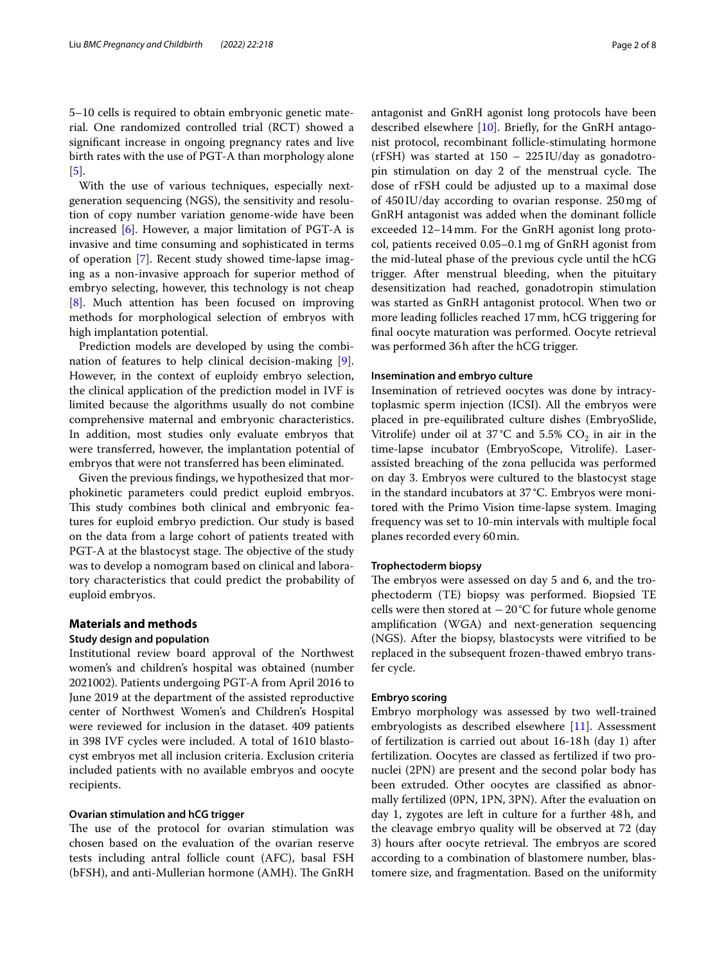5–10 cells is required to obtain embryonic genetic material. One randomized controlled trial (RCT) showed a signifcant increase in ongoing pregnancy rates and live birth rates with the use of PGT-A than morphology alone [[5\]](#page-6-4).

With the use of various techniques, especially nextgeneration sequencing (NGS), the sensitivity and resolution of copy number variation genome-wide have been increased [[6\]](#page-6-5). However, a major limitation of PGT-A is invasive and time consuming and sophisticated in terms of operation [[7\]](#page-6-6). Recent study showed time-lapse imaging as a non-invasive approach for superior method of embryo selecting, however, this technology is not cheap [[8\]](#page-6-7). Much attention has been focused on improving methods for morphological selection of embryos with high implantation potential.

Prediction models are developed by using the combination of features to help clinical decision-making [\[9](#page-6-8)]. However, in the context of euploidy embryo selection, the clinical application of the prediction model in IVF is limited because the algorithms usually do not combine comprehensive maternal and embryonic characteristics. In addition, most studies only evaluate embryos that were transferred, however, the implantation potential of embryos that were not transferred has been eliminated.

Given the previous fndings, we hypothesized that morphokinetic parameters could predict euploid embryos. This study combines both clinical and embryonic features for euploid embryo prediction. Our study is based on the data from a large cohort of patients treated with PGT-A at the blastocyst stage. The objective of the study was to develop a nomogram based on clinical and laboratory characteristics that could predict the probability of euploid embryos.

## **Materials and methods**

## **Study design and population**

Institutional review board approval of the Northwest women's and children's hospital was obtained (number 2021002). Patients undergoing PGT-A from April 2016 to June 2019 at the department of the assisted reproductive center of Northwest Women's and Children's Hospital were reviewed for inclusion in the dataset. 409 patients in 398 IVF cycles were included. A total of 1610 blastocyst embryos met all inclusion criteria. Exclusion criteria included patients with no available embryos and oocyte recipients.

## **Ovarian stimulation and hCG trigger**

The use of the protocol for ovarian stimulation was chosen based on the evaluation of the ovarian reserve tests including antral follicle count (AFC), basal FSH (bFSH), and anti-Mullerian hormone (AMH). The GnRH antagonist and GnRH agonist long protocols have been described elsewhere [\[10\]](#page-6-9). Briefy, for the GnRH antagonist protocol, recombinant follicle-stimulating hormone (rFSH) was started at 150 – 225IU/day as gonadotropin stimulation on day 2 of the menstrual cycle. The dose of rFSH could be adjusted up to a maximal dose of 450IU/day according to ovarian response. 250mg of GnRH antagonist was added when the dominant follicle exceeded 12–14mm. For the GnRH agonist long protocol, patients received 0.05–0.1mg of GnRH agonist from the mid-luteal phase of the previous cycle until the hCG trigger. After menstrual bleeding, when the pituitary desensitization had reached, gonadotropin stimulation was started as GnRH antagonist protocol. When two or more leading follicles reached 17mm, hCG triggering for fnal oocyte maturation was performed. Oocyte retrieval was performed 36h after the hCG trigger.

## **Insemination and embryo culture**

Insemination of retrieved oocytes was done by intracytoplasmic sperm injection (ICSI). All the embryos were placed in pre-equilibrated culture dishes (EmbryoSlide, Vitrolife) under oil at 37 °C and 5.5%  $CO_2$  in air in the time-lapse incubator (EmbryoScope, Vitrolife). Laserassisted breaching of the zona pellucida was performed on day 3. Embryos were cultured to the blastocyst stage in the standard incubators at 37 °C. Embryos were monitored with the Primo Vision time-lapse system. Imaging frequency was set to 10-min intervals with multiple focal planes recorded every 60min.

### **Trophectoderm biopsy**

The embryos were assessed on day 5 and 6, and the trophectoderm (TE) biopsy was performed. Biopsied TE cells were then stored at −20°C for future whole genome amplifcation (WGA) and next-generation sequencing (NGS). After the biopsy, blastocysts were vitrifed to be replaced in the subsequent frozen-thawed embryo transfer cycle.

## **Embryo scoring**

Embryo morphology was assessed by two well-trained embryologists as described elsewhere [[11\]](#page-6-10). Assessment of fertilization is carried out about 16-18h (day 1) after fertilization. Oocytes are classed as fertilized if two pronuclei (2PN) are present and the second polar body has been extruded. Other oocytes are classifed as abnormally fertilized (0PN, 1PN, 3PN). After the evaluation on day 1, zygotes are left in culture for a further 48h, and the cleavage embryo quality will be observed at 72 (day 3) hours after oocyte retrieval. The embryos are scored according to a combination of blastomere number, blastomere size, and fragmentation. Based on the uniformity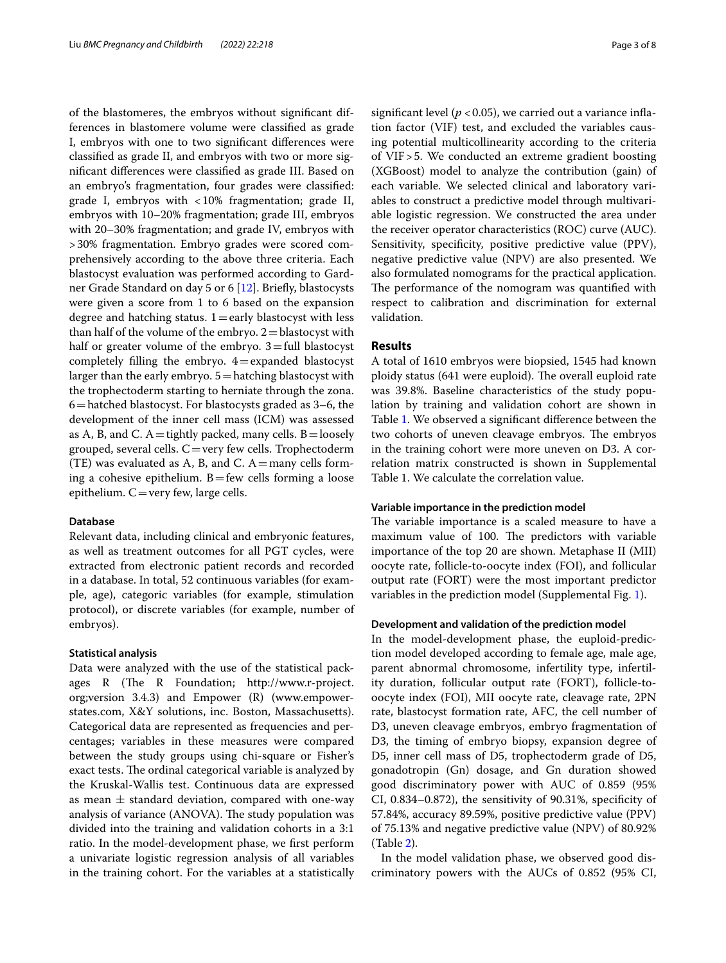of the blastomeres, the embryos without signifcant differences in blastomere volume were classifed as grade I, embryos with one to two signifcant diferences were classifed as grade II, and embryos with two or more signifcant diferences were classifed as grade III. Based on an embryo's fragmentation, four grades were classifed: grade I, embryos with <10% fragmentation; grade II, embryos with 10–20% fragmentation; grade III, embryos with 20–30% fragmentation; and grade IV, embryos with >30% fragmentation. Embryo grades were scored comprehensively according to the above three criteria. Each blastocyst evaluation was performed according to Gardner Grade Standard on day 5 or 6 [\[12](#page-6-11)]. Briefy, blastocysts were given a score from 1 to 6 based on the expansion degree and hatching status.  $1 =$ early blastocyst with less than half of the volume of the embryo.  $2 =$  blastocyst with half or greater volume of the embryo.  $3$ =full blastocyst completely filling the embryo.  $4$ =expanded blastocyst larger than the early embryo.  $5 =$  hatching blastocyst with the trophectoderm starting to herniate through the zona. 6=hatched blastocyst. For blastocysts graded as 3–6, the development of the inner cell mass (ICM) was assessed as A, B, and C.  $A =$ tightly packed, many cells. B=loosely grouped, several cells.  $C = \text{very few cells}$ . Trophectoderm (TE) was evaluated as A, B, and C.  $A=$ many cells forming a cohesive epithelium.  $B$ =few cells forming a loose epithelium.  $C=$ very few, large cells.

## **Database**

Relevant data, including clinical and embryonic features, as well as treatment outcomes for all PGT cycles, were extracted from electronic patient records and recorded in a database. In total, 52 continuous variables (for example, age), categoric variables (for example, stimulation protocol), or discrete variables (for example, number of embryos).

### **Statistical analysis**

Data were analyzed with the use of the statistical packages  $R$  (The  $R$  Foundation; http://www.r-project. org;version 3.4.3) and Empower (R) (www.empowerstates.com, X&Y solutions, inc. Boston, Massachusetts). Categorical data are represented as frequencies and percentages; variables in these measures were compared between the study groups using chi-square or Fisher's exact tests. The ordinal categorical variable is analyzed by the Kruskal-Wallis test. Continuous data are expressed as mean  $\pm$  standard deviation, compared with one-way analysis of variance (ANOVA). The study population was divided into the training and validation cohorts in a 3:1 ratio. In the model-development phase, we frst perform a univariate logistic regression analysis of all variables in the training cohort. For the variables at a statistically significant level ( $p < 0.05$ ), we carried out a variance inflation factor (VIF) test, and excluded the variables causing potential multicollinearity according to the criteria of VIF>5. We conducted an extreme gradient boosting (XGBoost) model to analyze the contribution (gain) of each variable. We selected clinical and laboratory variables to construct a predictive model through multivariable logistic regression. We constructed the area under the receiver operator characteristics (ROC) curve (AUC). Sensitivity, specificity, positive predictive value (PPV), negative predictive value (NPV) are also presented. We also formulated nomograms for the practical application. The performance of the nomogram was quantified with respect to calibration and discrimination for external validation.

## **Results**

A total of 1610 embryos were biopsied, 1545 had known ploidy status (641 were euploid). The overall euploid rate was 39.8%. Baseline characteristics of the study population by training and validation cohort are shown in Table [1](#page-3-0). We observed a signifcant diference between the two cohorts of uneven cleavage embryos. The embryos in the training cohort were more uneven on D3. A correlation matrix constructed is shown in Supplemental Table 1. We calculate the correlation value.

## **Variable importance in the prediction model**

The variable importance is a scaled measure to have a maximum value of 100. The predictors with variable importance of the top 20 are shown. Metaphase II (MII) oocyte rate, follicle-to-oocyte index (FOI), and follicular output rate (FORT) were the most important predictor variables in the prediction model (Supplemental Fig. [1](#page-6-12)).

## **Development and validation of the prediction model**

In the model-development phase, the euploid-prediction model developed according to female age, male age, parent abnormal chromosome, infertility type, infertility duration, follicular output rate (FORT), follicle-tooocyte index (FOI), MII oocyte rate, cleavage rate, 2PN rate, blastocyst formation rate, AFC, the cell number of D3, uneven cleavage embryos, embryo fragmentation of D3, the timing of embryo biopsy, expansion degree of D5, inner cell mass of D5, trophectoderm grade of D5, gonadotropin (Gn) dosage, and Gn duration showed good discriminatory power with AUC of 0.859 (95% CI, 0.834–0.872), the sensitivity of 90.31%, specifcity of 57.84%, accuracy 89.59%, positive predictive value (PPV) of 75.13% and negative predictive value (NPV) of 80.92% (Table [2\)](#page-4-0).

In the model validation phase, we observed good discriminatory powers with the AUCs of 0.852 (95% CI,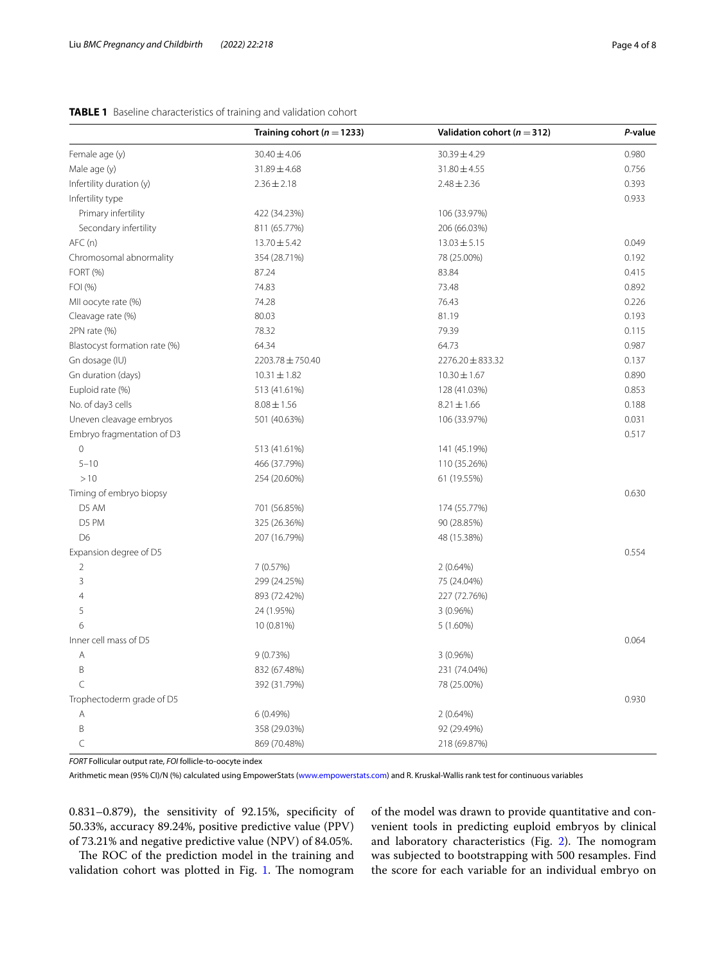## <span id="page-3-0"></span>**TABLE 1** Baseline characteristics of training and validation cohort

|                               | Training cohort ( $n = 1233$ ) | Validation cohort ( $n = 312$ ) | P-value |
|-------------------------------|--------------------------------|---------------------------------|---------|
| Female age (y)                | $30.40 \pm 4.06$               | 30.39±4.29                      | 0.980   |
| Male age (y)                  | 31.89±4.68                     | $31.80 \pm 4.55$                | 0.756   |
| Infertility duration (y)      | $2.36 \pm 2.18$                | $2.48 \pm 2.36$                 | 0.393   |
| Infertility type              |                                |                                 | 0.933   |
| Primary infertility           | 422 (34.23%)                   | 106 (33.97%)                    |         |
| Secondary infertility         | 811 (65.77%)                   | 206 (66.03%)                    |         |
| AFC(n)                        | $13.70 \pm 5.42$               | $13.03 \pm 5.15$                | 0.049   |
| Chromosomal abnormality       | 354 (28.71%)                   | 78 (25.00%)                     | 0.192   |
| FORT (%)                      | 87.24                          | 83.84                           | 0.415   |
| FOI (%)                       | 74.83                          | 73.48                           | 0.892   |
| MII oocyte rate (%)           | 74.28                          | 76.43                           | 0.226   |
| Cleavage rate (%)             | 80.03                          | 81.19                           | 0.193   |
| 2PN rate (%)                  | 78.32                          | 79.39                           | 0.115   |
| Blastocyst formation rate (%) | 64.34                          | 64.73                           | 0.987   |
| Gn dosage (IU)                | 2203.78 ± 750.40               | $2276.20 \pm 833.32$            | 0.137   |
| Gn duration (days)            | $10.31 \pm 1.82$               | $10.30 \pm 1.67$                | 0.890   |
| Euploid rate (%)              | 513 (41.61%)                   | 128 (41.03%)                    | 0.853   |
| No. of day3 cells             | $8.08 \pm 1.56$                | $8.21 \pm 1.66$                 | 0.188   |
| Uneven cleavage embryos       | 501 (40.63%)                   | 106 (33.97%)                    | 0.031   |
| Embryo fragmentation of D3    |                                |                                 | 0.517   |
| $\circ$                       | 513 (41.61%)                   | 141 (45.19%)                    |         |
| $5 - 10$                      | 466 (37.79%)                   | 110 (35.26%)                    |         |
| >10                           | 254 (20.60%)                   | 61 (19.55%)                     |         |
| Timing of embryo biopsy       |                                |                                 | 0.630   |
| D5 AM                         | 701 (56.85%)                   | 174 (55.77%)                    |         |
| D5 PM                         | 325 (26.36%)                   | 90 (28.85%)                     |         |
| D <sub>6</sub>                | 207 (16.79%)                   | 48 (15.38%)                     |         |
| Expansion degree of D5        |                                |                                 | 0.554   |
| 2                             | 7(0.57%)                       | 2(0.64%)                        |         |
| 3                             | 299 (24.25%)                   | 75 (24.04%)                     |         |
| 4                             | 893 (72.42%)                   | 227 (72.76%)                    |         |
| 5                             | 24 (1.95%)                     | 3(0.96%)                        |         |
| 6                             | 10 (0.81%)                     | $5(1.60\%)$                     |         |
| Inner cell mass of D5         |                                |                                 | 0.064   |
| Α                             | 9(0.73%)                       | 3(0.96%)                        |         |
| Β                             | 832 (67.48%)                   | 231 (74.04%)                    |         |
| C                             | 392 (31.79%)                   | 78 (25.00%)                     |         |
| Trophectoderm grade of D5     |                                |                                 | 0.930   |
| Α                             | 6 (0.49%)                      | $2(0.64\%)$                     |         |
| B                             | 358 (29.03%)                   | 92 (29.49%)                     |         |
| C                             | 869 (70.48%)                   | 218 (69.87%)                    |         |

*FORT* Follicular output rate, *FOI* follicle-to-oocyte index

Arithmetic mean (95% CI)/N (%) calculated using EmpowerStats [\(www.empowerstats.com\)](http://www.empowerstats.com) and R. Kruskal-Wallis rank test for continuous variables

0.831–0.879), the sensitivity of 92.15%, specifcity of 50.33%, accuracy 89.24%, positive predictive value (PPV) of 73.21% and negative predictive value (NPV) of 84.05%.

The ROC of the prediction model in the training and validation cohort was plotted in Fig. [1.](#page-4-1) The nomogram of the model was drawn to provide quantitative and convenient tools in predicting euploid embryos by clinical and laboratory characteristics (Fig. [2](#page-5-0)). The nomogram was subjected to bootstrapping with 500 resamples. Find the score for each variable for an individual embryo on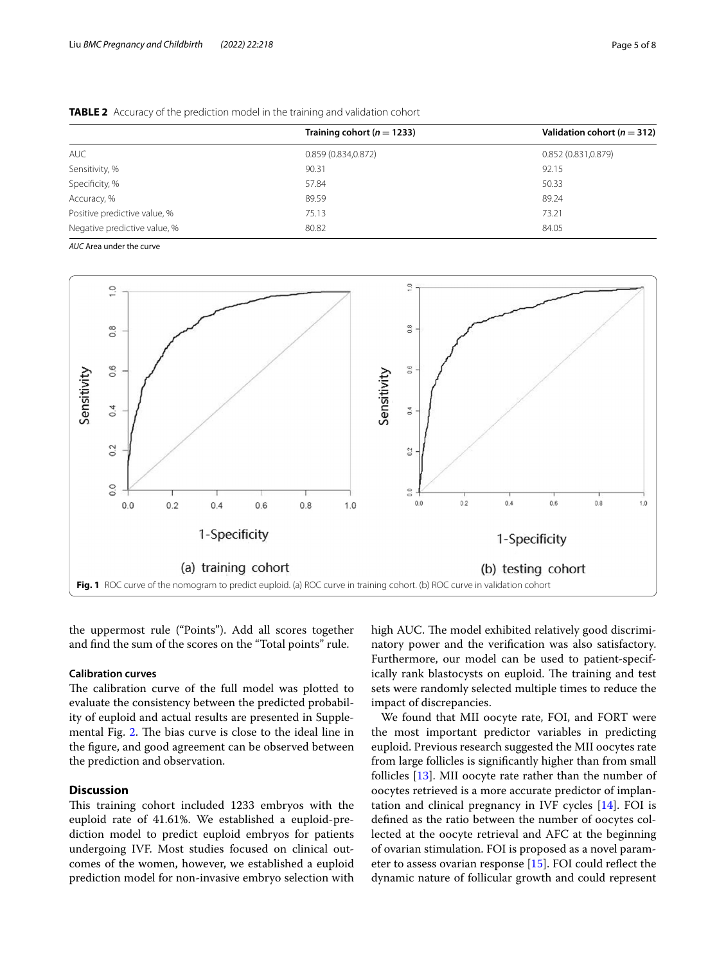|                              | Training cohort ( $n = 1233$ ) | Validation cohort ( $n = 312$ ) |
|------------------------------|--------------------------------|---------------------------------|
| <b>AUC</b>                   | 0.859(0.834, 0.872)            | 0.852(0.831, 0.879)             |
| Sensitivity, %               | 90.31                          | 92.15                           |
| Specificity, %               | 57.84                          | 50.33                           |
| Accuracy, %                  | 89.59                          | 89.24                           |
| Positive predictive value, % | 75.13                          | 73.21                           |
| Negative predictive value, % | 80.82                          | 84.05                           |

<span id="page-4-0"></span>**TABLE 2** Accuracy of the prediction model in the training and validation cohort

*AUC* Area under the curve



<span id="page-4-1"></span>the uppermost rule ("Points"). Add all scores together and fnd the sum of the scores on the "Total points" rule.

## **Calibration curves**

The calibration curve of the full model was plotted to evaluate the consistency between the predicted probability of euploid and actual results are presented in Supple-mental Fig. [2](#page-6-12). The bias curve is close to the ideal line in the fgure, and good agreement can be observed between the prediction and observation.

## **Discussion**

This training cohort included 1233 embryos with the euploid rate of 41.61%. We established a euploid-prediction model to predict euploid embryos for patients undergoing IVF. Most studies focused on clinical outcomes of the women, however, we established a euploid prediction model for non-invasive embryo selection with high AUC. The model exhibited relatively good discriminatory power and the verifcation was also satisfactory. Furthermore, our model can be used to patient-specifically rank blastocysts on euploid. The training and test sets were randomly selected multiple times to reduce the impact of discrepancies.

We found that MII oocyte rate, FOI, and FORT were the most important predictor variables in predicting euploid. Previous research suggested the MII oocytes rate from large follicles is signifcantly higher than from small follicles [\[13\]](#page-6-13). MII oocyte rate rather than the number of oocytes retrieved is a more accurate predictor of implantation and clinical pregnancy in IVF cycles [\[14](#page-7-0)]. FOI is defned as the ratio between the number of oocytes collected at the oocyte retrieval and AFC at the beginning of ovarian stimulation. FOI is proposed as a novel parameter to assess ovarian response [[15\]](#page-7-1). FOI could refect the dynamic nature of follicular growth and could represent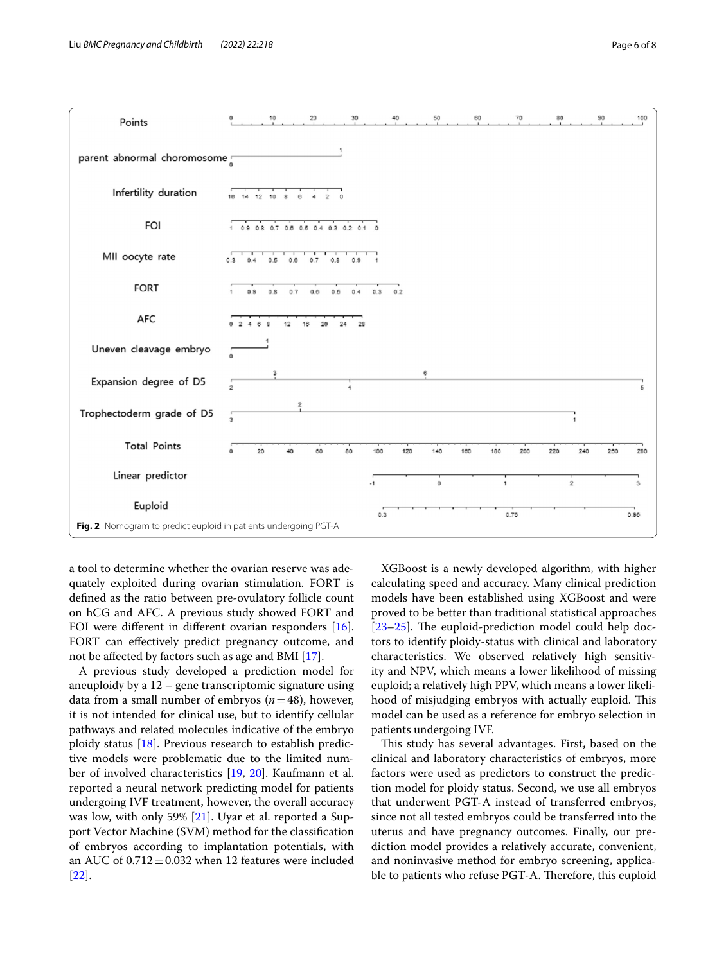

<span id="page-5-0"></span>a tool to determine whether the ovarian reserve was adequately exploited during ovarian stimulation. FORT is defned as the ratio between pre-ovulatory follicle count on hCG and AFC. A previous study showed FORT and FOI were diferent in diferent ovarian responders [\[16](#page-7-2)]. FORT can effectively predict pregnancy outcome, and not be afected by factors such as age and BMI [[17\]](#page-7-3).

A previous study developed a prediction model for aneuploidy by a 12 – gene transcriptomic signature using data from a small number of embryos (*n*=48), however, it is not intended for clinical use, but to identify cellular pathways and related molecules indicative of the embryo ploidy status [[18](#page-7-4)]. Previous research to establish predictive models were problematic due to the limited number of involved characteristics [\[19](#page-7-5), [20\]](#page-7-6). Kaufmann et al. reported a neural network predicting model for patients undergoing IVF treatment, however, the overall accuracy was low, with only 59% [\[21\]](#page-7-7). Uyar et al. reported a Support Vector Machine (SVM) method for the classifcation of embryos according to implantation potentials, with an AUC of  $0.712 \pm 0.032$  when 12 features were included [[22\]](#page-7-8).

XGBoost is a newly developed algorithm, with higher calculating speed and accuracy. Many clinical prediction models have been established using XGBoost and were proved to be better than traditional statistical approaches  $[23–25]$  $[23–25]$  $[23–25]$ . The euploid-prediction model could help doctors to identify ploidy-status with clinical and laboratory characteristics. We observed relatively high sensitivity and NPV, which means a lower likelihood of missing euploid; a relatively high PPV, which means a lower likelihood of misjudging embryos with actually euploid. This model can be used as a reference for embryo selection in patients undergoing IVF.

This study has several advantages. First, based on the clinical and laboratory characteristics of embryos, more factors were used as predictors to construct the prediction model for ploidy status. Second, we use all embryos that underwent PGT-A instead of transferred embryos, since not all tested embryos could be transferred into the uterus and have pregnancy outcomes. Finally, our prediction model provides a relatively accurate, convenient, and noninvasive method for embryo screening, applicable to patients who refuse PGT-A. Therefore, this euploid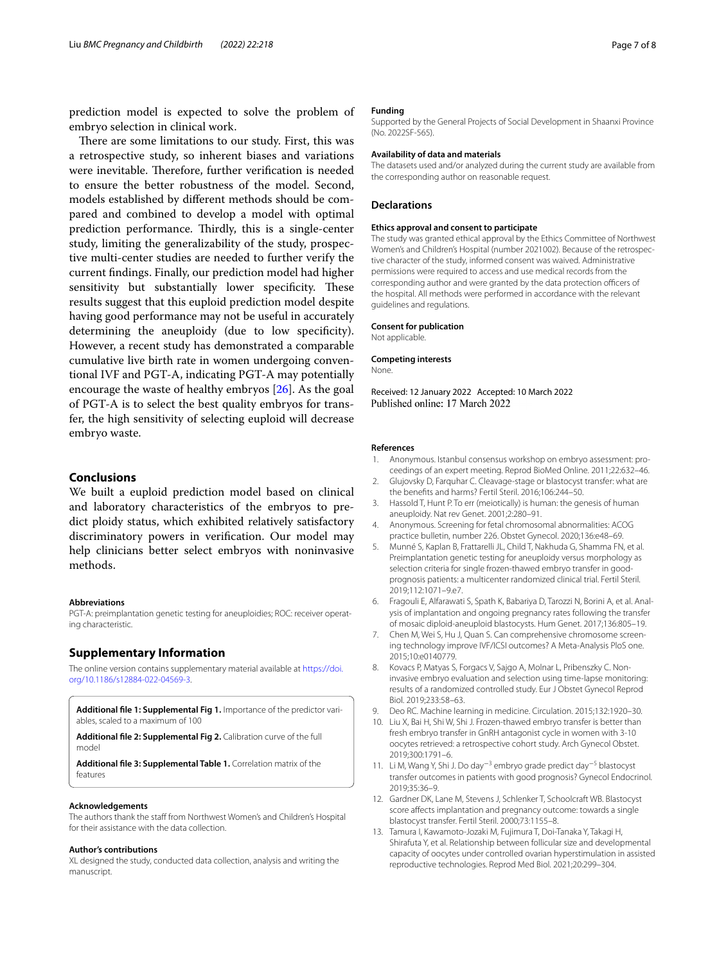prediction model is expected to solve the problem of embryo selection in clinical work.

There are some limitations to our study. First, this was a retrospective study, so inherent biases and variations were inevitable. Therefore, further verification is needed to ensure the better robustness of the model. Second, models established by diferent methods should be compared and combined to develop a model with optimal prediction performance. Thirdly, this is a single-center study, limiting the generalizability of the study, prospective multi-center studies are needed to further verify the current fndings. Finally, our prediction model had higher sensitivity but substantially lower specificity. These results suggest that this euploid prediction model despite having good performance may not be useful in accurately determining the aneuploidy (due to low specifcity). However, a recent study has demonstrated a comparable cumulative live birth rate in women undergoing conventional IVF and PGT-A, indicating PGT-A may potentially encourage the waste of healthy embryos [[26\]](#page-7-11). As the goal of PGT-A is to select the best quality embryos for transfer, the high sensitivity of selecting euploid will decrease embryo waste.

## **Conclusions**

We built a euploid prediction model based on clinical and laboratory characteristics of the embryos to predict ploidy status, which exhibited relatively satisfactory discriminatory powers in verifcation. Our model may help clinicians better select embryos with noninvasive methods.

## **Abbreviations**

PGT-A: preimplantation genetic testing for aneuploidies; ROC: receiver operating characteristic.

## **Supplementary Information**

The online version contains supplementary material available at [https://doi.](https://doi.org/10.1186/s12884-022-04569-3) [org/10.1186/s12884-022-04569-3](https://doi.org/10.1186/s12884-022-04569-3).

<span id="page-6-12"></span>**Additional fle 1: Supplemental Fig 1.** Importance of the predictor variables, scaled to a maximum of 100

**Additional fle 2: Supplemental Fig 2.** Calibration curve of the full model

**Additional fle 3: Supplemental Table 1.** Correlation matrix of the features

#### **Acknowledgements**

The authors thank the staff from Northwest Women's and Children's Hospital for their assistance with the data collection.

#### **Author's contributions**

XL designed the study, conducted data collection, analysis and writing the manuscript.

## **Funding**

Supported by the General Projects of Social Development in Shaanxi Province (No. 2022SF-565).

#### **Availability of data and materials**

The datasets used and/or analyzed during the current study are available from the corresponding author on reasonable request.

## **Declarations**

## **Ethics approval and consent to participate**

The study was granted ethical approval by the Ethics Committee of Northwest Women's and Children's Hospital (number 2021002). Because of the retrospective character of the study, informed consent was waived. Administrative permissions were required to access and use medical records from the corresponding author and were granted by the data protection officers of the hospital. All methods were performed in accordance with the relevant guidelines and regulations.

### **Consent for publication**

Not applicable.

## **Competing interests**

None.

Received: 12 January 2022 Accepted: 10 March 2022 Published online: 17 March 2022

#### **References**

- <span id="page-6-0"></span>Anonymous. Istanbul consensus workshop on embryo assessment: proceedings of an expert meeting. Reprod BioMed Online. 2011;22:632–46.
- <span id="page-6-1"></span>2. Glujovsky D, Farquhar C. Cleavage-stage or blastocyst transfer: what are the benefts and harms? Fertil Steril. 2016;106:244–50.
- <span id="page-6-2"></span>3. Hassold T, Hunt P. To err (meiotically) is human: the genesis of human aneuploidy. Nat rev Genet. 2001;2:280–91.
- <span id="page-6-3"></span>4. Anonymous. Screening for fetal chromosomal abnormalities: ACOG practice bulletin, number 226. Obstet Gynecol. 2020;136:e48–69.
- <span id="page-6-4"></span>5. Munné S, Kaplan B, Frattarelli JL, Child T, Nakhuda G, Shamma FN, et al. Preimplantation genetic testing for aneuploidy versus morphology as selection criteria for single frozen-thawed embryo transfer in goodprognosis patients: a multicenter randomized clinical trial. Fertil Steril. 2019;112:1071–9.e7.
- <span id="page-6-5"></span>6. Fragouli E, Alfarawati S, Spath K, Babariya D, Tarozzi N, Borini A, et al. Analysis of implantation and ongoing pregnancy rates following the transfer of mosaic diploid-aneuploid blastocysts. Hum Genet. 2017;136:805–19.
- <span id="page-6-6"></span>7. Chen M, Wei S, Hu J, Quan S. Can comprehensive chromosome screening technology improve IVF/ICSI outcomes? A Meta-Analysis PloS one. 2015;10:e0140779.
- <span id="page-6-7"></span>8. Kovacs P, Matyas S, Forgacs V, Sajgo A, Molnar L, Pribenszky C. Noninvasive embryo evaluation and selection using time-lapse monitoring: results of a randomized controlled study. Eur J Obstet Gynecol Reprod Biol. 2019;233:58–63.
- <span id="page-6-8"></span>9. Deo RC. Machine learning in medicine. Circulation. 2015;132:1920–30.
- <span id="page-6-9"></span>10. Liu X, Bai H, Shi W, Shi J. Frozen-thawed embryo transfer is better than fresh embryo transfer in GnRH antagonist cycle in women with 3-10 oocytes retrieved: a retrospective cohort study. Arch Gynecol Obstet. 2019;300:1791–6.
- <span id="page-6-10"></span>11. Li M, Wang Y, Shi J. Do day<sup>-3</sup> embryo grade predict day<sup>-5</sup> blastocyst transfer outcomes in patients with good prognosis? Gynecol Endocrinol. 2019;35:36–9.
- <span id="page-6-11"></span>12. Gardner DK, Lane M, Stevens J, Schlenker T, Schoolcraft WB. Blastocyst score afects implantation and pregnancy outcome: towards a single blastocyst transfer. Fertil Steril. 2000;73:1155–8.
- <span id="page-6-13"></span>13. Tamura I, Kawamoto-Jozaki M, Fujimura T, Doi-Tanaka Y, Takagi H, Shirafuta Y, et al. Relationship between follicular size and developmental capacity of oocytes under controlled ovarian hyperstimulation in assisted reproductive technologies. Reprod Med Biol. 2021;20:299–304.